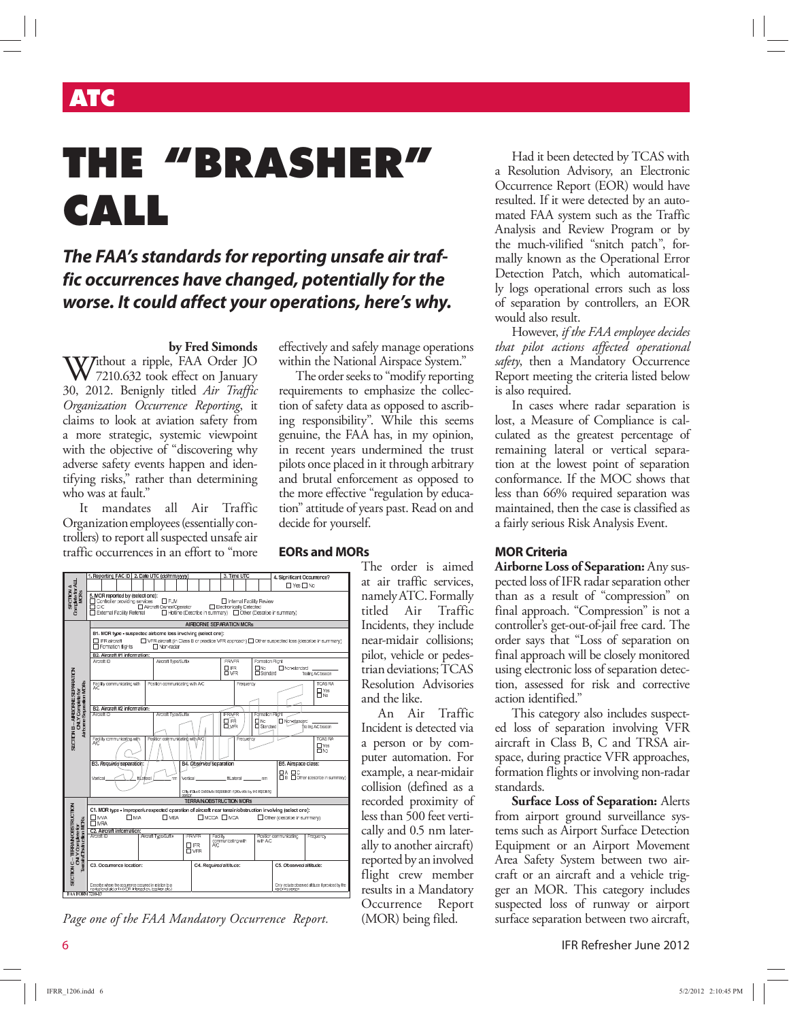## **ATC**

# **THE "BRASHER" CALL**

### **The FAA's standards for reporting unsafe air traffic occurrences have changed, potentially for the worse. It could affect your operations, here's why.**

#### **by Fred Simonds**

 $W^{\text{it}}$  a ripple, FAA Order JO 7210.632 took effect on January 30, 2012. Benignly titled *Air Traffic Organization Occurrence Reporting*, it claims to look at aviation safety from a more strategic, systemic viewpoint with the objective of "discovering why adverse safety events happen and identifying risks," rather than determining who was at fault."

It mandates all Air Traffic Organization employees (essentially controllers) to report all suspected unsafe air traffic occurrences in an effort to "more

effectively and safely manage operations within the National Airspace System."

The order seeks to "modify reporting requirements to emphasize the collection of safety data as opposed to ascribing responsibility". While this seems genuine, the FAA has, in my opinion, in recent years undermined the trust pilots once placed in it through arbitrary and brutal enforcement as opposed to the more effective "regulation by education" attitude of years past. Read on and decide for yourself.





JO 7210.632<br>Appendix B **EORs and MORs**

The order is aimed at air traffic services, namely ATC. Formally titled Air Traffic Incidents, they include near-midair collisions; pilot, vehicle or pedestrian deviations; TCAS Resolution Advisories and the like.

An Air Traffic Incident is detected via a person or by computer automation. For example, a near-midair collision (defined as a recorded proximity of less than 500 feet vertically and 0.5 nm laterally to another aircraft) reported by an involved flight crew member results in a Mandatory Occurrence Report (MOR) being filed.

Had it been detected by TCAS with a Resolution Advisory, an Electronic Occurrence Report (EOR) would have resulted. If it were detected by an automated FAA system such as the Traffic Analysis and Review Program or by the much-vilified "snitch patch", formally known as the Operational Error Detection Patch, which automatically logs operational errors such as loss of separation by controllers, an EOR would also result.

However, *if the FAA employee decides that pilot actions affected operational safety*, then a Mandatory Occurrence Report meeting the criteria listed below is also required.

In cases where radar separation is lost, a Measure of Compliance is calculated as the greatest percentage of remaining lateral or vertical separation at the lowest point of separation conformance. If the MOC shows that less than 66% required separation was maintained, then the case is classified as a fairly serious Risk Analysis Event.

#### **MOR Criteria**

**Airborne Loss of Separation:** Any suspected loss of IFR radar separation other than as a result of "compression" on final approach. "Compression" is not a controller's get-out-of-jail free card. The order says that "Loss of separation on final approach will be closely monitored using electronic loss of separation detection, assessed for risk and corrective action identified."

This category also includes suspected loss of separation involving VFR aircraft in Class B, C and TRSA airspace, during practice VFR approaches, formation flights or involving non-radar standards.

**Surface Loss of Separation:** Alerts from airport ground surveillance systems such as Airport Surface Detection Equipment or an Airport Movement Area Safety System between two aircraft or an aircraft and a vehicle trigger an MOR. This category includes suspected loss of runway or airport surface separation between two aircraft,

6 IFR Refresher June 2012